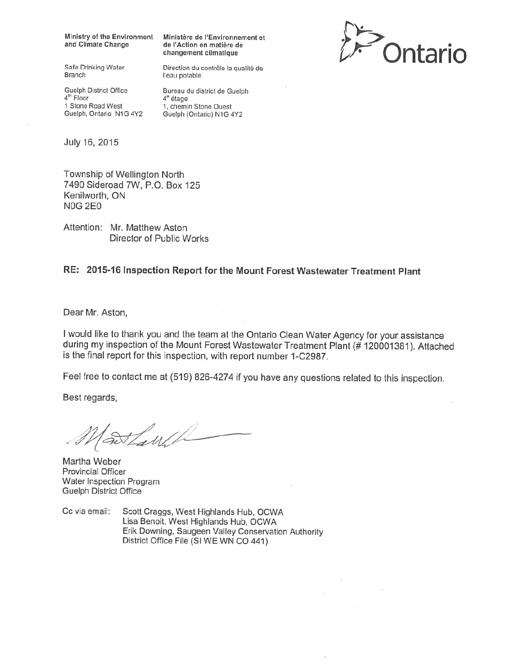Ministry of the Environment and Climate Change

Ministère de l'Environnement et de l'Action en matière de changement climatique

Direction du contrôle la qualité de



Safe Drinking Water **Branch** 

Guelph District Office 4<sup>th</sup> Floor 1 Stone Road West Guelph, Ontario N1G 4Y2

Bureau du district de Guelph  $4^{\circ}$  étage

1, chemin Stone Ouest Guelph (Ontario) N1G 4Y2

l'eau potable

July 16, 2015

Township of Wellington North 7490 Sideroad 7W, P.O. Box 125 Kenilworth, ON **N0G 2E0** 

Attention: Mr. Matthew Aston Director of Public Works

## RE: 2015-16 Inspection Report for the Mount Forest Wastewater Treatment Plant

Dear Mr. Aston,

I would like to thank you and the team at the Ontario Clean Water Agency for your assistance during my inspection of the Mount Forest Wastewater Treatment Plant (# 120001381). Attached is the final report for this inspection, with report number 1-C2987.

Feel free to contact me at (519) 826-4274 if you have any questions related to this inspection.

Best regards,

Tawh

Martha Weber **Provincial Officer** Water Inspection Program **Guelph District Office** 

Cc via email: Scott Craggs, West Highlands Hub, OCWA Lisa Benoit, West Highlands Hub, OCWA Erik Downing, Saugeen Valley Conservation Authority District Office File (SI WE WN CO 441)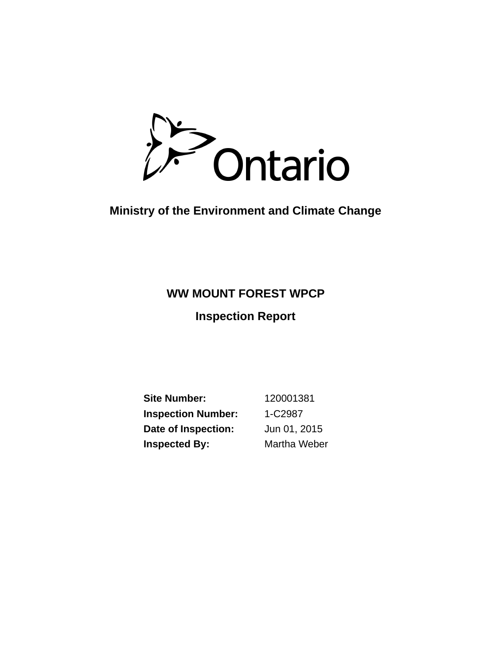Ontario

# **Ministry of the Environment and Climate Change**

# **WW MOUNT FOREST WPCP**

**Inspection Report**

**Inspection Number:** 1-C2987 **Date of Inspection:** Jun 01, 2015 **Site Number:** 120001381 **Inspected By:** Martha Weber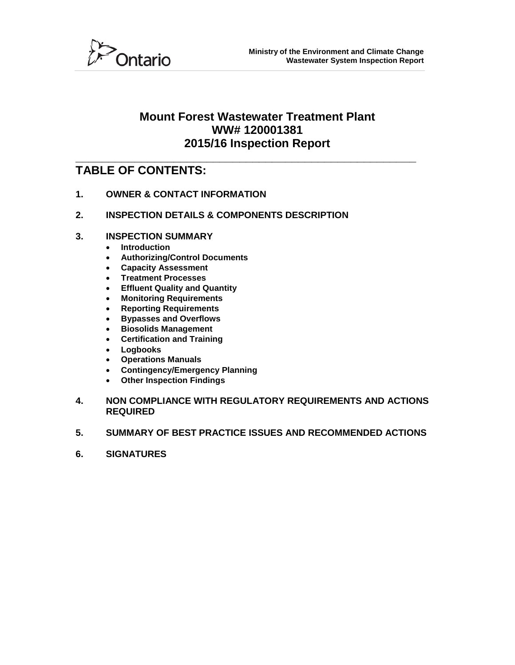

## **Mount Forest Wastewater Treatment Plant WW# 120001381 2015/16 Inspection Report**

## **\_\_\_\_\_\_\_\_\_\_\_\_\_\_\_\_\_\_\_\_\_\_\_\_\_\_\_\_\_\_\_\_\_\_\_\_\_\_\_\_\_\_\_\_\_\_\_\_\_\_\_\_ TABLE OF CONTENTS:**

- **1. OWNER & CONTACT INFORMATION**
- **2. INSPECTION DETAILS & COMPONENTS DESCRIPTION**
- **3. INSPECTION SUMMARY**
	- **Introduction**
	- **Authorizing/Control Documents**
	- **Capacity Assessment**
	- **Treatment Processes**
	- **Effluent Quality and Quantity**
	- **Monitoring Requirements**
	- **Reporting Requirements**
	- **Bypasses and Overflows**
	- **Biosolids Management**
	- **Certification and Training**
	- **Logbooks**
	- **Operations Manuals**
	- **Contingency/Emergency Planning**
	- **Other Inspection Findings**
- **4. NON COMPLIANCE WITH REGULATORY REQUIREMENTS AND ACTIONS REQUIRED**
- **5. SUMMARY OF BEST PRACTICE ISSUES AND RECOMMENDED ACTIONS**
- **6. SIGNATURES**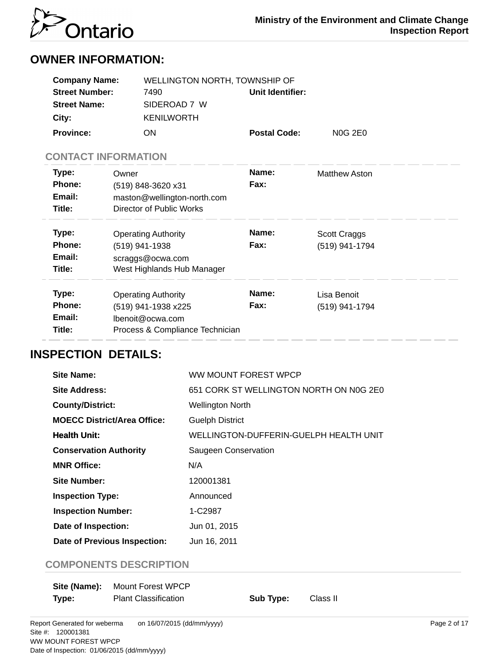

# **OWNER INFORMATION:**

| <b>Company Name:</b>     | WELLINGTON NORTH, TOWNSHIP OF |                     |         |  |
|--------------------------|-------------------------------|---------------------|---------|--|
| <b>Street Number:</b>    | 7490                          | Unit Identifier:    |         |  |
| <b>Street Name:</b>      | SIDEROAD 7 W                  |                     |         |  |
| City:                    | <b>KENILWORTH</b>             |                     |         |  |
| <b>Province:</b>         | ON                            | <b>Postal Code:</b> | N0G 2E0 |  |
| CONITA CT INIEODIMATIONI |                               |                     |         |  |

## **CONTACT INFORMATION**

| Type:<br><b>Phone:</b><br>Email:<br>Title: | Owner<br>(519) 848-3620 x31<br>maston@wellington-north.com<br>Director of Public Works                   | Name:<br>Fax:        | <b>Matthew Aston</b>           |
|--------------------------------------------|----------------------------------------------------------------------------------------------------------|----------------------|--------------------------------|
| Type:<br>Phone:<br>Email:<br>Title:        | <b>Operating Authority</b><br>(519) 941-1938<br>scraggs@ocwa.com<br>West Highlands Hub Manager           | Name:<br>Fax:        | Scott Craggs<br>(519) 941-1794 |
| Type:<br>Phone:<br>Email:<br>Title:        | <b>Operating Authority</b><br>(519) 941-1938 x225<br>lbenoit@ocwa.com<br>Process & Compliance Technician | Name:<br><b>Fax:</b> | Lisa Benoit<br>(519) 941-1794  |

# **INSPECTION DETAILS:**

| Site Name:                          | WW MOUNT FOREST WPCP                    |
|-------------------------------------|-----------------------------------------|
| Site Address:                       | 651 CORK ST WELLINGTON NORTH ON N0G 2E0 |
| <b>County/District:</b>             | <b>Wellington North</b>                 |
| <b>MOECC District/Area Office:</b>  | <b>Guelph District</b>                  |
| <b>Health Unit:</b>                 | WELLINGTON-DUFFERIN-GUELPH HEALTH UNIT  |
| <b>Conservation Authority</b>       | Saugeen Conservation                    |
| <b>MNR Office:</b>                  | N/A                                     |
| Site Number:                        | 120001381                               |
| <b>Inspection Type:</b>             | Announced                               |
| <b>Inspection Number:</b>           | 1-C2987                                 |
| Date of Inspection:                 | Jun 01, 2015                            |
| <b>Date of Previous Inspection:</b> | Jun 16, 2011                            |

## **COMPONENTS DESCRIPTION**

|       | <b>Site (Name):</b> Mount Forest WPCP |           |          |
|-------|---------------------------------------|-----------|----------|
| Type: | <b>Plant Classification</b>           | Sub Type: | Class II |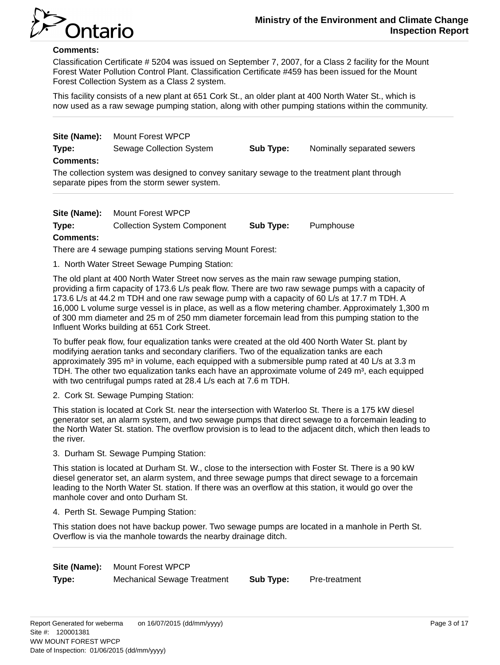

#### **Comments:**

Classification Certificate # 5204 was issued on September 7, 2007, for a Class 2 facility for the Mount Forest Water Pollution Control Plant. Classification Certificate #459 has been issued for the Mount Forest Collection System as a Class 2 system.

This facility consists of a new plant at 651 Cork St., an older plant at 400 North Water St., which is now used as a raw sewage pumping station, along with other pumping stations within the community.

**Site (Name):** Mount Forest WPCP **Type:** Sewage Collection System **Sub Type:** Nominally separated sewers **Comments:**

The collection system was designed to convey sanitary sewage to the treatment plant through separate pipes from the storm sewer system.

**Site (Name):** Mount Forest WPCP

**Type:** Collection System Component **Sub Type:** Pumphouse

#### **Comments:**

There are 4 sewage pumping stations serving Mount Forest:

1. North Water Street Sewage Pumping Station:

The old plant at 400 North Water Street now serves as the main raw sewage pumping station, providing a firm capacity of 173.6 L/s peak flow. There are two raw sewage pumps with a capacity of 173.6 L/s at 44.2 m TDH and one raw sewage pump with a capacity of 60 L/s at 17.7 m TDH. A 16,000 L volume surge vessel is in place, as well as a flow metering chamber. Approximately 1,300 m of 300 mm diameter and 25 m of 250 mm diameter forcemain lead from this pumping station to the Influent Works building at 651 Cork Street.

To buffer peak flow, four equalization tanks were created at the old 400 North Water St. plant by modifying aeration tanks and secondary clarifiers. Two of the equalization tanks are each approximately 395  $m<sup>3</sup>$  in volume, each equipped with a submersible pump rated at 40 L/s at 3.3 m TDH. The other two equalization tanks each have an approximate volume of  $249 \text{ m}^3$ , each equipped with two centrifugal pumps rated at 28.4 L/s each at 7.6 m TDH.

2. Cork St. Sewage Pumping Station:

This station is located at Cork St. near the intersection with Waterloo St. There is a 175 kW diesel generator set, an alarm system, and two sewage pumps that direct sewage to a forcemain leading to the North Water St. station. The overflow provision is to lead to the adjacent ditch, which then leads to the river.

3. Durham St. Sewage Pumping Station:

This station is located at Durham St. W., close to the intersection with Foster St. There is a 90 kW diesel generator set, an alarm system, and three sewage pumps that direct sewage to a forcemain leading to the North Water St. station. If there was an overflow at this station, it would go over the manhole cover and onto Durham St.

4. Perth St. Sewage Pumping Station:

This station does not have backup power. Two sewage pumps are located in a manhole in Perth St. Overflow is via the manhole towards the nearby drainage ditch.

**Site (Name):** Mount Forest WPCP **Type:** Mechanical Sewage Treatment **Sub Type:** Pre-treatment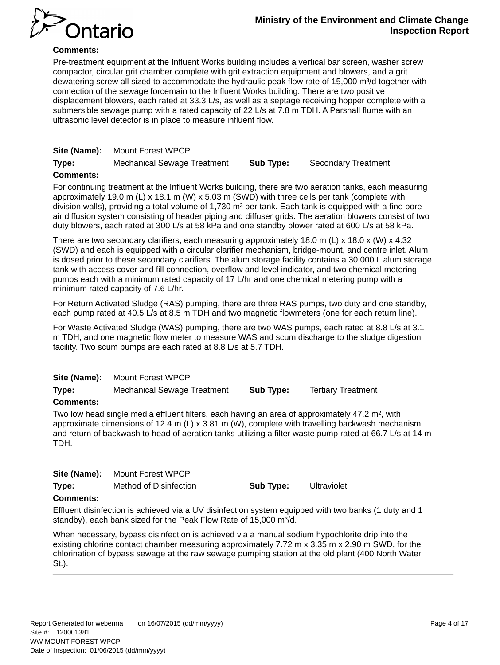

## **Comments:**

Pre-treatment equipment at the Influent Works building includes a vertical bar screen, washer screw compactor, circular grit chamber complete with grit extraction equipment and blowers, and a grit dewatering screw all sized to accommodate the hydraulic peak flow rate of 15,000 m<sup>3</sup>/d together with connection of the sewage forcemain to the Influent Works building. There are two positive displacement blowers, each rated at 33.3 L/s, as well as a septage receiving hopper complete with a submersible sewage pump with a rated capacity of 22 L/s at 7.8 m TDH. A Parshall flume with an ultrasonic level detector is in place to measure influent flow.

|       | Site (Name): Mount Forest WPCP     |           |                            |
|-------|------------------------------------|-----------|----------------------------|
| Type: | <b>Mechanical Sewage Treatment</b> | Sub Type: | <b>Secondary Treatment</b> |

#### **Comments:**

For continuing treatment at the Influent Works building, there are two aeration tanks, each measuring approximately 19.0 m (L) x 18.1 m (W) x 5.03 m (SWD) with three cells per tank (complete with division walls), providing a total volume of 1,730  $m<sup>3</sup>$  per tank. Each tank is equipped with a fine pore air diffusion system consisting of header piping and diffuser grids. The aeration blowers consist of two duty blowers, each rated at 300 L/s at 58 kPa and one standby blower rated at 600 L/s at 58 kPa.

There are two secondary clarifiers, each measuring approximately 18.0 m (L) x 18.0 x (W) x 4.32 (SWD) and each is equipped with a circular clarifier mechanism, bridge-mount, and centre inlet. Alum is dosed prior to these secondary clarifiers. The alum storage facility contains a 30,000 L alum storage tank with access cover and fill connection, overflow and level indicator, and two chemical metering pumps each with a minimum rated capacity of 17 L/hr and one chemical metering pump with a minimum rated capacity of 7.6 L/hr.

For Return Activated Sludge (RAS) pumping, there are three RAS pumps, two duty and one standby, each pump rated at 40.5 L/s at 8.5 m TDH and two magnetic flowmeters (one for each return line).

For Waste Activated Sludge (WAS) pumping, there are two WAS pumps, each rated at 8.8 L/s at 3.1 m TDH, and one magnetic flow meter to measure WAS and scum discharge to the sludge digestion facility. Two scum pumps are each rated at 8.8 L/s at 5.7 TDH.

|  | Site (Name): |  | Mount Forest WPCP |
|--|--------------|--|-------------------|
|--|--------------|--|-------------------|

**Type:** Mechanical Sewage Treatment **Sub Type:** Tertiary Treatment

#### **Comments:**

Two low head single media effluent filters, each having an area of approximately 47.2 m², with approximate dimensions of 12.4 m  $(L) \times 3.81$  m  $(W)$ , complete with travelling backwash mechanism and return of backwash to head of aeration tanks utilizing a filter waste pump rated at 66.7 L/s at 14 m TDH.

| Site (Name):                  | Mount Forest WPCP      |
|-------------------------------|------------------------|
| $\mathbf{L}$ and $\mathbf{L}$ | Mathed of Distribution |

**Type:** Method of Disinfection **Sub Type:** Ultraviolet

#### **Comments:**

Effluent disinfection is achieved via a UV disinfection system equipped with two banks (1 duty and 1 standby), each bank sized for the Peak Flow Rate of 15,000 m<sup>3</sup>/d.

When necessary, bypass disinfection is achieved via a manual sodium hypochlorite drip into the existing chlorine contact chamber measuring approximately 7.72 m x 3.35 m x 2.90 m SWD, for the chlorination of bypass sewage at the raw sewage pumping station at the old plant (400 North Water St.).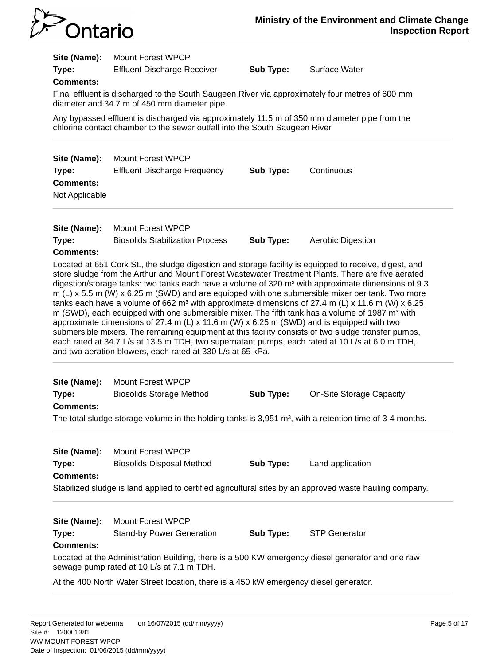

| Site (Name):<br>Type:<br><b>Comments:</b>                   | <b>Mount Forest WPCP</b><br><b>Effluent Discharge Receiver</b><br>Final effluent is discharged to the South Saugeen River via approximately four metres of 600 mm<br>diameter and 34.7 m of 450 mm diameter pipe.<br>Any bypassed effluent is discharged via approximately 11.5 m of 350 mm diameter pipe from the                                                                                                                                                                                                                                                                                                                                                                                                                                                                                                                                                                                                                                                                                                                      | Sub Type:        | Surface Water                   |
|-------------------------------------------------------------|-----------------------------------------------------------------------------------------------------------------------------------------------------------------------------------------------------------------------------------------------------------------------------------------------------------------------------------------------------------------------------------------------------------------------------------------------------------------------------------------------------------------------------------------------------------------------------------------------------------------------------------------------------------------------------------------------------------------------------------------------------------------------------------------------------------------------------------------------------------------------------------------------------------------------------------------------------------------------------------------------------------------------------------------|------------------|---------------------------------|
|                                                             | chlorine contact chamber to the sewer outfall into the South Saugeen River.                                                                                                                                                                                                                                                                                                                                                                                                                                                                                                                                                                                                                                                                                                                                                                                                                                                                                                                                                             |                  |                                 |
| Site (Name):<br>Type:<br><b>Comments:</b><br>Not Applicable | <b>Mount Forest WPCP</b><br><b>Effluent Discharge Frequency</b>                                                                                                                                                                                                                                                                                                                                                                                                                                                                                                                                                                                                                                                                                                                                                                                                                                                                                                                                                                         | Sub Type:        | Continuous                      |
| Site (Name):<br>Type:<br><b>Comments:</b>                   | <b>Mount Forest WPCP</b><br><b>Biosolids Stabilization Process</b>                                                                                                                                                                                                                                                                                                                                                                                                                                                                                                                                                                                                                                                                                                                                                                                                                                                                                                                                                                      | Sub Type:        | Aerobic Digestion               |
|                                                             | Located at 651 Cork St., the sludge digestion and storage facility is equipped to receive, digest, and<br>store sludge from the Arthur and Mount Forest Wastewater Treatment Plants. There are five aerated<br>digestion/storage tanks: two tanks each have a volume of 320 m <sup>3</sup> with approximate dimensions of 9.3<br>m (L) $x$ 5.5 m (W) $x$ 6.25 m (SWD) and are equipped with one submersible mixer per tank. Two more<br>tanks each have a volume of 662 m <sup>3</sup> with approximate dimensions of 27.4 m (L) x 11.6 m (W) x 6.25<br>m (SWD), each equipped with one submersible mixer. The fifth tank has a volume of 1987 m <sup>3</sup> with<br>approximate dimensions of 27.4 m (L) x 11.6 m (W) x 6.25 m (SWD) and is equipped with two<br>submersible mixers. The remaining equipment at this facility consists of two sludge transfer pumps,<br>each rated at 34.7 L/s at 13.5 m TDH, two supernatant pumps, each rated at 10 L/s at 6.0 m TDH,<br>and two aeration blowers, each rated at 330 L/s at 65 kPa. |                  |                                 |
| Site (Name):<br>Type:                                       | <b>Mount Forest WPCP</b><br><b>Biosolids Storage Method</b>                                                                                                                                                                                                                                                                                                                                                                                                                                                                                                                                                                                                                                                                                                                                                                                                                                                                                                                                                                             | Sub Type:        | <b>On-Site Storage Capacity</b> |
| <b>Comments:</b>                                            | The total sludge storage volume in the holding tanks is 3,951 m <sup>3</sup> , with a retention time of 3-4 months.                                                                                                                                                                                                                                                                                                                                                                                                                                                                                                                                                                                                                                                                                                                                                                                                                                                                                                                     |                  |                                 |
| Site (Name):<br>Type:<br><b>Comments:</b>                   | <b>Mount Forest WPCP</b><br><b>Biosolids Disposal Method</b><br>Stabilized sludge is land applied to certified agricultural sites by an approved waste hauling company.                                                                                                                                                                                                                                                                                                                                                                                                                                                                                                                                                                                                                                                                                                                                                                                                                                                                 | <b>Sub Type:</b> | Land application                |
| Site (Name):<br>Type:<br><b>Comments:</b>                   | <b>Mount Forest WPCP</b><br><b>Stand-by Power Generation</b><br>Located at the Administration Building, there is a 500 KW emergency diesel generator and one raw                                                                                                                                                                                                                                                                                                                                                                                                                                                                                                                                                                                                                                                                                                                                                                                                                                                                        | Sub Type:        | <b>STP Generator</b>            |
|                                                             | sewage pump rated at 10 L/s at 7.1 m TDH.<br>At the 400 North Water Street location, there is a 450 kW emergency diesel generator.                                                                                                                                                                                                                                                                                                                                                                                                                                                                                                                                                                                                                                                                                                                                                                                                                                                                                                      |                  |                                 |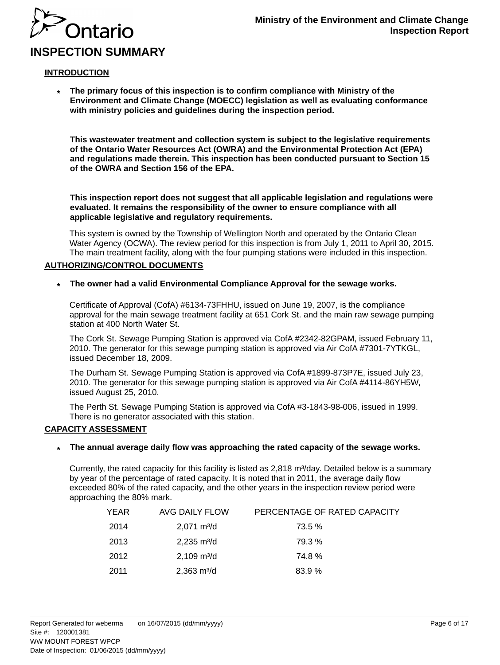

# **INSPECTION SUMMARY**

Ontario

#### **INTRODUCTION**

**\* The primary focus of this inspection is to confirm compliance with Ministry of the Environment and Climate Change (MOECC) legislation as well as evaluating conformance with ministry policies and guidelines during the inspection period.**

**This wastewater treatment and collection system is subject to the legislative requirements of the Ontario Water Resources Act (OWRA) and the Environmental Protection Act (EPA) and regulations made therein. This inspection has been conducted pursuant to Section 15 of the OWRA and Section 156 of the EPA.**

**This inspection report does not suggest that all applicable legislation and regulations were evaluated. It remains the responsibility of the owner to ensure compliance with all applicable legislative and regulatory requirements.**

This system is owned by the Township of Wellington North and operated by the Ontario Clean Water Agency (OCWA). The review period for this inspection is from July 1, 2011 to April 30, 2015. The main treatment facility, along with the four pumping stations were included in this inspection.

#### **AUTHORIZING/CONTROL DOCUMENTS**

**\* The owner had a valid Environmental Compliance Approval for the sewage works.**

Certificate of Approval (CofA) #6134-73FHHU, issued on June 19, 2007, is the compliance approval for the main sewage treatment facility at 651 Cork St. and the main raw sewage pumping station at 400 North Water St.

The Cork St. Sewage Pumping Station is approved via CofA #2342-82GPAM, issued February 11, 2010. The generator for this sewage pumping station is approved via Air CofA #7301-7YTKGL, issued December 18, 2009.

The Durham St. Sewage Pumping Station is approved via CofA #1899-873P7E, issued July 23, 2010. The generator for this sewage pumping station is approved via Air CofA #4114-86YH5W, issued August 25, 2010.

The Perth St. Sewage Pumping Station is approved via CofA #3-1843-98-006, issued in 1999. There is no generator associated with this station.

#### **CAPACITY ASSESSMENT**

#### **\* The annual average daily flow was approaching the rated capacity of the sewage works.**

Currently, the rated capacity for this facility is listed as  $2,818$  m $\frac{3}{4}$  Detailed below is a summary by year of the percentage of rated capacity. It is noted that in 2011, the average daily flow exceeded 80% of the rated capacity, and the other years in the inspection review period were approaching the 80% mark.

| YEAR | AVG DAILY FLOW               | PERCENTAGE OF RATED CAPACITY |
|------|------------------------------|------------------------------|
| 2014 | $2,071 \text{ m}^3/\text{d}$ | 73.5 %                       |
| 2013 | $2,235 \text{ m}^3/\text{d}$ | 79.3 %                       |
| 2012 | $2,109 \text{ m}^3/\text{d}$ | 74.8%                        |
| 2011 | $2,363 \text{ m}^3/\text{d}$ | 83.9 %                       |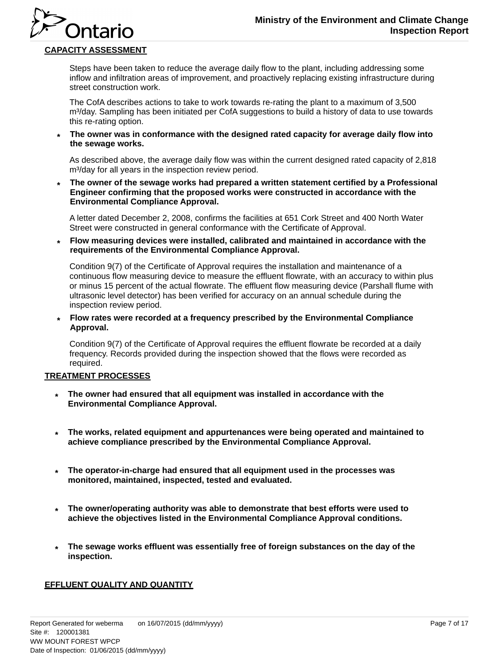

## **CAPACITY ASSESSMENT**

Ontario

Steps have been taken to reduce the average daily flow to the plant, including addressing some inflow and infiltration areas of improvement, and proactively replacing existing infrastructure during street construction work.

The CofA describes actions to take to work towards re-rating the plant to a maximum of 3,500 m<sup>3</sup>/day. Sampling has been initiated per CofA suggestions to build a history of data to use towards this re-rating option.

**\* The owner was in conformance with the designed rated capacity for average daily flow into the sewage works.**

As described above, the average daily flow was within the current designed rated capacity of 2,818 m<sup>3</sup>/day for all years in the inspection review period.

**\* The owner of the sewage works had prepared a written statement certified by a Professional Engineer confirming that the proposed works were constructed in accordance with the Environmental Compliance Approval.**

A letter dated December 2, 2008, confirms the facilities at 651 Cork Street and 400 North Water Street were constructed in general conformance with the Certificate of Approval.

**\* Flow measuring devices were installed, calibrated and maintained in accordance with the requirements of the Environmental Compliance Approval.**

Condition 9(7) of the Certificate of Approval requires the installation and maintenance of a continuous flow measuring device to measure the effluent flowrate, with an accuracy to within plus or minus 15 percent of the actual flowrate. The effluent flow measuring device (Parshall flume with ultrasonic level detector) has been verified for accuracy on an annual schedule during the inspection review period.

**\* Flow rates were recorded at a frequency prescribed by the Environmental Compliance Approval.**

Condition 9(7) of the Certificate of Approval requires the effluent flowrate be recorded at a daily frequency. Records provided during the inspection showed that the flows were recorded as required.

#### **TREATMENT PROCESSES**

- **The owner had ensured that all equipment was installed in accordance with the \* Environmental Compliance Approval.**
- **The works, related equipment and appurtenances were being operated and maintained to achieve compliance prescribed by the Environmental Compliance Approval. \***
- **The operator-in-charge had ensured that all equipment used in the processes was monitored, maintained, inspected, tested and evaluated. \***
- **The owner/operating authority was able to demonstrate that best efforts were used to \* achieve the objectives listed in the Environmental Compliance Approval conditions.**
- **The sewage works effluent was essentially free of foreign substances on the day of the inspection. \***

#### **EFFLUENT QUALITY AND QUANTITY**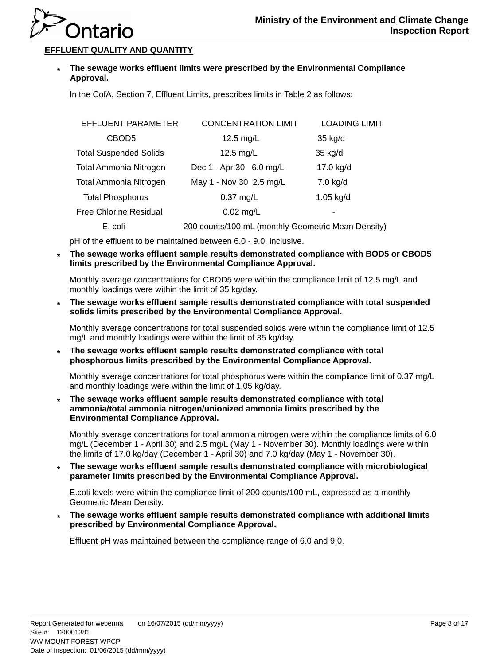

### **EFFLUENT QUALITY AND QUANTITY**

**\* The sewage works effluent limits were prescribed by the Environmental Compliance Approval.**

In the CofA, Section 7, Effluent Limits, prescribes limits in Table 2 as follows:

| EFFLUENT PARAMETER            | <b>CONCENTRATION LIMIT</b>                         | <b>LOADING LIMIT</b> |
|-------------------------------|----------------------------------------------------|----------------------|
| CBOD <sub>5</sub>             | 12.5 mg/L                                          | 35 kg/d              |
| <b>Total Suspended Solids</b> | 12.5 mg/L                                          | 35 kg/d              |
| <b>Total Ammonia Nitrogen</b> | Dec 1 - Apr 30 6.0 mg/L                            | 17.0 kg/d            |
| <b>Total Ammonia Nitrogen</b> | May 1 - Nov 30 2.5 mg/L                            | 7.0 kg/d             |
| <b>Total Phosphorus</b>       | $0.37$ mg/L                                        | $1.05$ kg/d          |
| Free Chlorine Residual        | $0.02$ mg/L                                        |                      |
| E. coli                       | 200 counts/100 mL (monthly Geometric Mean Density) |                      |

pH of the effluent to be maintained between 6.0 - 9.0, inclusive.

**\* The sewage works effluent sample results demonstrated compliance with BOD5 or CBOD5 limits prescribed by the Environmental Compliance Approval.**

Monthly average concentrations for CBOD5 were within the compliance limit of 12.5 mg/L and monthly loadings were within the limit of 35 kg/day.

**\* The sewage works effluent sample results demonstrated compliance with total suspended solids limits prescribed by the Environmental Compliance Approval.**

Monthly average concentrations for total suspended solids were within the compliance limit of 12.5 mg/L and monthly loadings were within the limit of 35 kg/day.

**\* The sewage works effluent sample results demonstrated compliance with total phosphorous limits prescribed by the Environmental Compliance Approval.**

Monthly average concentrations for total phosphorus were within the compliance limit of 0.37 mg/L and monthly loadings were within the limit of 1.05 kg/day.

**\* The sewage works effluent sample results demonstrated compliance with total ammonia/total ammonia nitrogen/unionized ammonia limits prescribed by the Environmental Compliance Approval.**

Monthly average concentrations for total ammonia nitrogen were within the compliance limits of 6.0 mg/L (December 1 - April 30) and 2.5 mg/L (May 1 - November 30). Monthly loadings were within the limits of 17.0 kg/day (December 1 - April 30) and 7.0 kg/day (May 1 - November 30).

**\* The sewage works effluent sample results demonstrated compliance with microbiological parameter limits prescribed by the Environmental Compliance Approval.**

E.coli levels were within the compliance limit of 200 counts/100 mL, expressed as a monthly Geometric Mean Density.

**\* The sewage works effluent sample results demonstrated compliance with additional limits prescribed by Environmental Compliance Approval.**

Effluent pH was maintained between the compliance range of 6.0 and 9.0.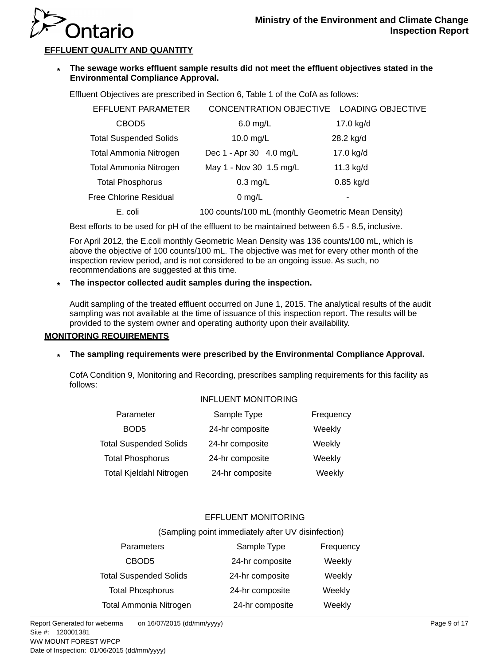

### **EFFLUENT QUALITY AND QUANTITY**

**\* The sewage works effluent sample results did not meet the effluent objectives stated in the Environmental Compliance Approval.**

Effluent Objectives are prescribed in Section 6, Table 1 of the CofA as follows:

| EFFLUENT PARAMETER            | CONCENTRATION OBJECTIVE LOADING OBJECTIVE          |             |
|-------------------------------|----------------------------------------------------|-------------|
| CBOD <sub>5</sub>             | $6.0$ mg/L                                         | 17.0 kg/d   |
| <b>Total Suspended Solids</b> | 10.0 mg/L                                          | 28.2 kg/d   |
| <b>Total Ammonia Nitrogen</b> | Dec 1 - Apr 30 4.0 mg/L                            | 17.0 kg/d   |
| Total Ammonia Nitrogen        | May 1 - Nov 30 1.5 mg/L                            | 11.3 kg/d   |
| <b>Total Phosphorus</b>       | $0.3$ mg/L                                         | $0.85$ kg/d |
| <b>Free Chlorine Residual</b> | 0 mg/L                                             | ۰           |
| E. coli                       | 100 counts/100 mL (monthly Geometric Mean Density) |             |

Best efforts to be used for pH of the effluent to be maintained between 6.5 - 8.5, inclusive.

For April 2012, the E.coli monthly Geometric Mean Density was 136 counts/100 mL, which is above the objective of 100 counts/100 mL. The objective was met for every other month of the inspection review period, and is not considered to be an ongoing issue. As such, no recommendations are suggested at this time.

#### **\* The inspector collected audit samples during the inspection.**

Audit sampling of the treated effluent occurred on June 1, 2015. The analytical results of the audit sampling was not available at the time of issuance of this inspection report. The results will be provided to the system owner and operating authority upon their availability.

#### **MONITORING REQUIREMENTS**

## **\* The sampling requirements were prescribed by the Environmental Compliance Approval.**

CofA Condition 9, Monitoring and Recording, prescribes sampling requirements for this facility as follows:

#### INFLUENT MONITORING

| Parameter                      | Sample Type     | Frequency |
|--------------------------------|-----------------|-----------|
| BOD <sub>5</sub>               | 24-hr composite | Weekly    |
| <b>Total Suspended Solids</b>  | 24-hr composite | Weekly    |
| <b>Total Phosphorus</b>        | 24-hr composite | Weekly    |
| <b>Total Kjeldahl Nitrogen</b> | 24-hr composite | Weekly    |

### EFFLUENT MONITORING

#### (Sampling point immediately after UV disinfection)

| Parameters                    | Sample Type     | Frequency |
|-------------------------------|-----------------|-----------|
| CBOD <sub>5</sub>             | 24-hr composite | Weekly    |
| <b>Total Suspended Solids</b> | 24-hr composite | Weekly    |
| <b>Total Phosphorus</b>       | 24-hr composite | Weekly    |
| <b>Total Ammonia Nitrogen</b> | 24-hr composite | Weekly    |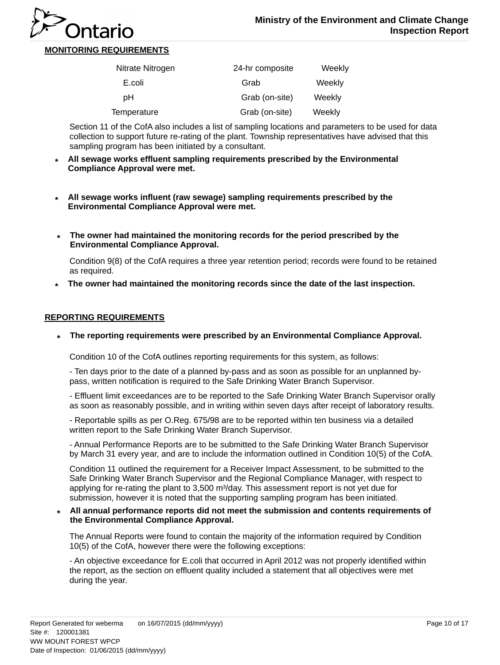

### **MONITORING REQUIREMENTS**

| Nitrate Nitrogen | 24-hr composite | Weekly |
|------------------|-----------------|--------|
| E.coli           | Grab            | Weekly |
| pН               | Grab (on-site)  | Weekly |
| Temperature      | Grab (on-site)  | Weekly |

Section 11 of the CofA also includes a list of sampling locations and parameters to be used for data collection to support future re-rating of the plant. Township representatives have advised that this sampling program has been initiated by a consultant.

- **All sewage works effluent sampling requirements prescribed by the Environmental Compliance Approval were met. \***
- **All sewage works influent (raw sewage) sampling requirements prescribed by the Environmental Compliance Approval were met. \***
- **\* The owner had maintained the monitoring records for the period prescribed by the Environmental Compliance Approval.**

Condition 9(8) of the CofA requires a three year retention period; records were found to be retained as required.

**The owner had maintained the monitoring records since the date of the last inspection. \***

#### **REPORTING REQUIREMENTS**

**\* The reporting requirements were prescribed by an Environmental Compliance Approval.**

Condition 10 of the CofA outlines reporting requirements for this system, as follows:

- Ten days prior to the date of a planned by-pass and as soon as possible for an unplanned bypass, written notification is required to the Safe Drinking Water Branch Supervisor.

- Effluent limit exceedances are to be reported to the Safe Drinking Water Branch Supervisor orally as soon as reasonably possible, and in writing within seven days after receipt of laboratory results.

- Reportable spills as per O.Reg. 675/98 are to be reported within ten business via a detailed written report to the Safe Drinking Water Branch Supervisor.

- Annual Performance Reports are to be submitted to the Safe Drinking Water Branch Supervisor by March 31 every year, and are to include the information outlined in Condition 10(5) of the CofA.

Condition 11 outlined the requirement for a Receiver Impact Assessment, to be submitted to the Safe Drinking Water Branch Supervisor and the Regional Compliance Manager, with respect to applying for re-rating the plant to 3,500 m<sup>3</sup>/day. This assessment report is not yet due for submission, however it is noted that the supporting sampling program has been initiated.

**\* All annual performance reports did not meet the submission and contents requirements of the Environmental Compliance Approval.**

The Annual Reports were found to contain the majority of the information required by Condition 10(5) of the CofA, however there were the following exceptions:

- An objective exceedance for E.coli that occurred in April 2012 was not properly identified within the report, as the section on effluent quality included a statement that all objectives were met during the year.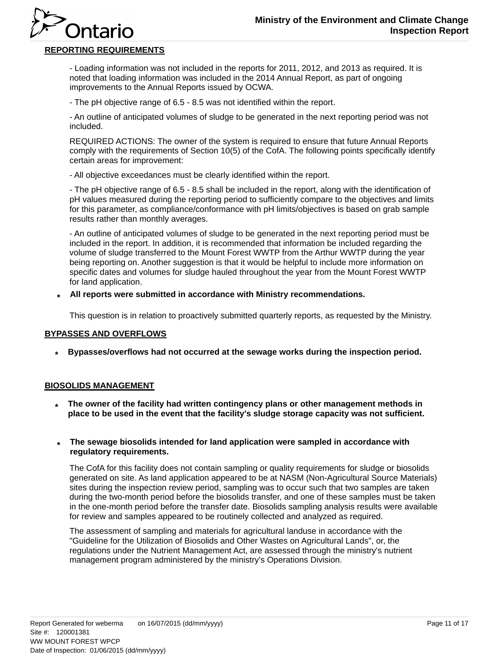## **REPORTING REQUIREMENTS**

Ontario

- Loading information was not included in the reports for 2011, 2012, and 2013 as required. It is noted that loading information was included in the 2014 Annual Report, as part of ongoing improvements to the Annual Reports issued by OCWA.

- The pH objective range of 6.5 - 8.5 was not identified within the report.

- An outline of anticipated volumes of sludge to be generated in the next reporting period was not included.

REQUIRED ACTIONS: The owner of the system is required to ensure that future Annual Reports comply with the requirements of Section 10(5) of the CofA. The following points specifically identify certain areas for improvement:

- All objective exceedances must be clearly identified within the report.

- The pH objective range of 6.5 - 8.5 shall be included in the report, along with the identification of pH values measured during the reporting period to sufficiently compare to the objectives and limits for this parameter, as compliance/conformance with pH limits/objectives is based on grab sample results rather than monthly averages.

- An outline of anticipated volumes of sludge to be generated in the next reporting period must be included in the report. In addition, it is recommended that information be included regarding the volume of sludge transferred to the Mount Forest WWTP from the Arthur WWTP during the year being reporting on. Another suggestion is that it would be helpful to include more information on specific dates and volumes for sludge hauled throughout the year from the Mount Forest WWTP for land application.

**\* All reports were submitted in accordance with Ministry recommendations.**

This question is in relation to proactively submitted quarterly reports, as requested by the Ministry.

#### **BYPASSES AND OVERFLOWS**

**Bypasses/overflows had not occurred at the sewage works during the inspection period. \***

#### **BIOSOLIDS MANAGEMENT**

- **The owner of the facility had written contingency plans or other management methods in \* place to be used in the event that the facility's sludge storage capacity was not sufficient.**
- **\* The sewage biosolids intended for land application were sampled in accordance with regulatory requirements.**

The CofA for this facility does not contain sampling or quality requirements for sludge or biosolids generated on site. As land application appeared to be at NASM (Non-Agricultural Source Materials) sites during the inspection review period, sampling was to occur such that two samples are taken during the two-month period before the biosolids transfer, and one of these samples must be taken in the one-month period before the transfer date. Biosolids sampling analysis results were available for review and samples appeared to be routinely collected and analyzed as required.

The assessment of sampling and materials for agricultural landuse in accordance with the "Guideline for the Utilization of Biosolids and Other Wastes on Agricultural Lands", or, the regulations under the Nutrient Management Act, are assessed through the ministry's nutrient management program administered by the ministry's Operations Division.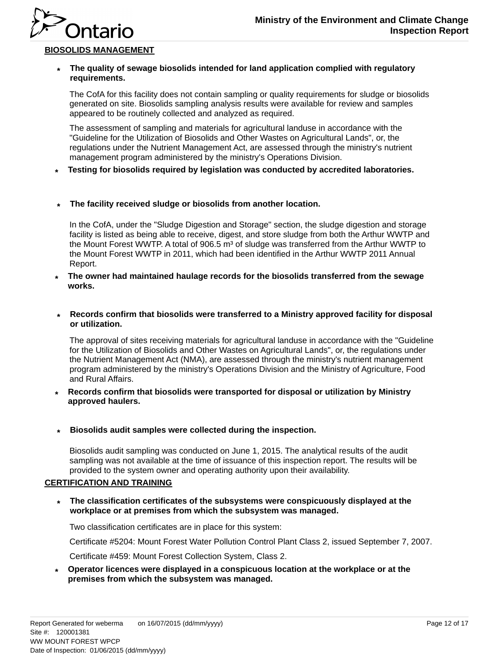

## **BIOSOLIDS MANAGEMENT**

Ontario

#### **\* The quality of sewage biosolids intended for land application complied with regulatory requirements.**

The CofA for this facility does not contain sampling or quality requirements for sludge or biosolids generated on site. Biosolids sampling analysis results were available for review and samples appeared to be routinely collected and analyzed as required.

The assessment of sampling and materials for agricultural landuse in accordance with the "Guideline for the Utilization of Biosolids and Other Wastes on Agricultural Lands", or, the regulations under the Nutrient Management Act, are assessed through the ministry's nutrient management program administered by the ministry's Operations Division.

**Testing for biosolids required by legislation was conducted by accredited laboratories. \***

#### **\* The facility received sludge or biosolids from another location.**

In the CofA, under the "Sludge Digestion and Storage" section, the sludge digestion and storage facility is listed as being able to receive, digest, and store sludge from both the Arthur WWTP and the Mount Forest WWTP. A total of  $906.5$  m<sup>3</sup> of sludge was transferred from the Arthur WWTP to the Mount Forest WWTP in 2011, which had been identified in the Arthur WWTP 2011 Annual Report.

- **The owner had maintained haulage records for the biosolids transferred from the sewage works. \***
- **\* Records confirm that biosolids were transferred to a Ministry approved facility for disposal or utilization.**

The approval of sites receiving materials for agricultural landuse in accordance with the "Guideline for the Utilization of Biosolids and Other Wastes on Agricultural Lands", or, the regulations under the Nutrient Management Act (NMA), are assessed through the ministry's nutrient management program administered by the ministry's Operations Division and the Ministry of Agriculture, Food and Rural Affairs.

- **Records confirm that biosolids were transported for disposal or utilization by Ministry approved haulers. \***
- **\* Biosolids audit samples were collected during the inspection.**

Biosolids audit sampling was conducted on June 1, 2015. The analytical results of the audit sampling was not available at the time of issuance of this inspection report. The results will be provided to the system owner and operating authority upon their availability.

#### **CERTIFICATION AND TRAINING**

**\* The classification certificates of the subsystems were conspicuously displayed at the workplace or at premises from which the subsystem was managed.**

Two classification certificates are in place for this system:

Certificate #5204: Mount Forest Water Pollution Control Plant Class 2, issued September 7, 2007.

Certificate #459: Mount Forest Collection System, Class 2.

**Operator licences were displayed in a conspicuous location at the workplace or at the premises from which the subsystem was managed. \***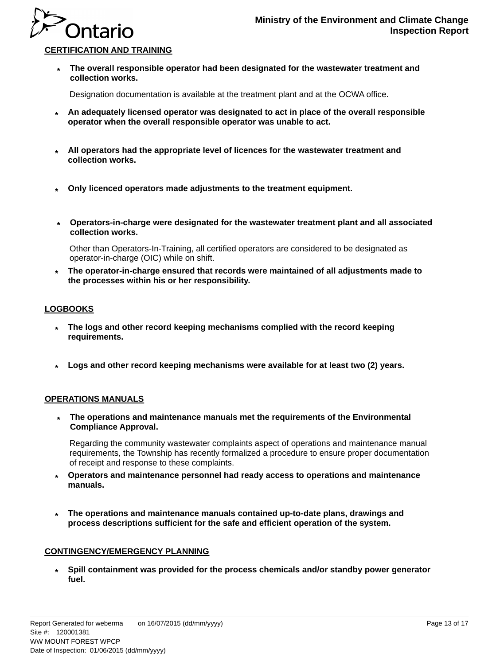

### **CERTIFICATION AND TRAINING**

**\* The overall responsible operator had been designated for the wastewater treatment and collection works.**

Designation documentation is available at the treatment plant and at the OCWA office.

- **An adequately licensed operator was designated to act in place of the overall responsible \* operator when the overall responsible operator was unable to act.**
- **All operators had the appropriate level of licences for the wastewater treatment and \* collection works.**
- **Only licenced operators made adjustments to the treatment equipment. \***
- **\* Operators-in-charge were designated for the wastewater treatment plant and all associated collection works.**

Other than Operators-In-Training, all certified operators are considered to be designated as operator-in-charge (OIC) while on shift.

**The operator-in-charge ensured that records were maintained of all adjustments made to the processes within his or her responsibility. \***

#### **LOGBOOKS**

- **The logs and other record keeping mechanisms complied with the record keeping requirements. \***
- **Logs and other record keeping mechanisms were available for at least two (2) years. \***

#### **OPERATIONS MANUALS**

**\* The operations and maintenance manuals met the requirements of the Environmental Compliance Approval.**

Regarding the community wastewater complaints aspect of operations and maintenance manual requirements, the Township has recently formalized a procedure to ensure proper documentation of receipt and response to these complaints.

- **Operators and maintenance personnel had ready access to operations and maintenance manuals. \***
- **The operations and maintenance manuals contained up-to-date plans, drawings and process descriptions sufficient for the safe and efficient operation of the system. \***

#### **CONTINGENCY/EMERGENCY PLANNING**

**Spill containment was provided for the process chemicals and/or standby power generator fuel. \***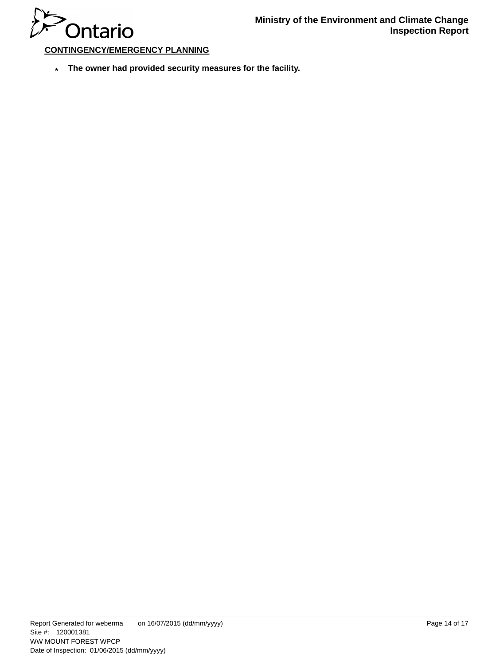

### **CONTINGENCY/EMERGENCY PLANNING**

**The owner had provided security measures for the facility. \***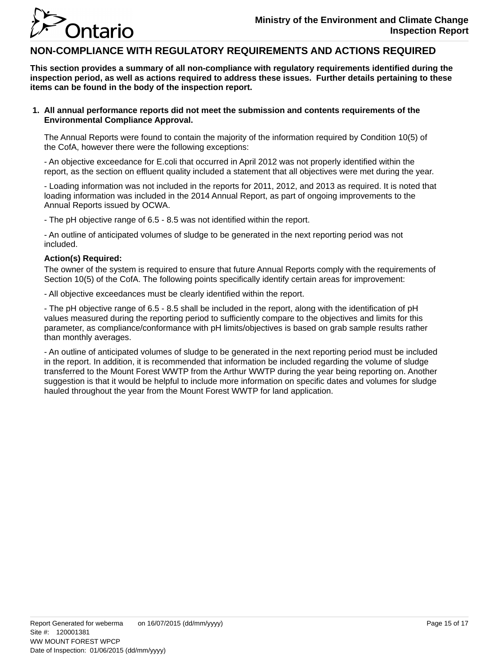

## **NON-COMPLIANCE WITH REGULATORY REQUIREMENTS AND ACTIONS REQUIRED**

**This section provides a summary of all non-compliance with regulatory requirements identified during the inspection period, as well as actions required to address these issues. Further details pertaining to these items can be found in the body of the inspection report.**

#### **All annual performance reports did not meet the submission and contents requirements of the 1. Environmental Compliance Approval.**

The Annual Reports were found to contain the majority of the information required by Condition 10(5) of the CofA, however there were the following exceptions:

- An objective exceedance for E.coli that occurred in April 2012 was not properly identified within the report, as the section on effluent quality included a statement that all objectives were met during the year.

- Loading information was not included in the reports for 2011, 2012, and 2013 as required. It is noted that loading information was included in the 2014 Annual Report, as part of ongoing improvements to the Annual Reports issued by OCWA.

- The pH objective range of 6.5 - 8.5 was not identified within the report.

- An outline of anticipated volumes of sludge to be generated in the next reporting period was not included.

#### **Action(s) Required:**

The owner of the system is required to ensure that future Annual Reports comply with the requirements of Section 10(5) of the CofA. The following points specifically identify certain areas for improvement:

- All objective exceedances must be clearly identified within the report.

- The pH objective range of 6.5 - 8.5 shall be included in the report, along with the identification of pH values measured during the reporting period to sufficiently compare to the objectives and limits for this parameter, as compliance/conformance with pH limits/objectives is based on grab sample results rather than monthly averages.

- An outline of anticipated volumes of sludge to be generated in the next reporting period must be included in the report. In addition, it is recommended that information be included regarding the volume of sludge transferred to the Mount Forest WWTP from the Arthur WWTP during the year being reporting on. Another suggestion is that it would be helpful to include more information on specific dates and volumes for sludge hauled throughout the year from the Mount Forest WWTP for land application.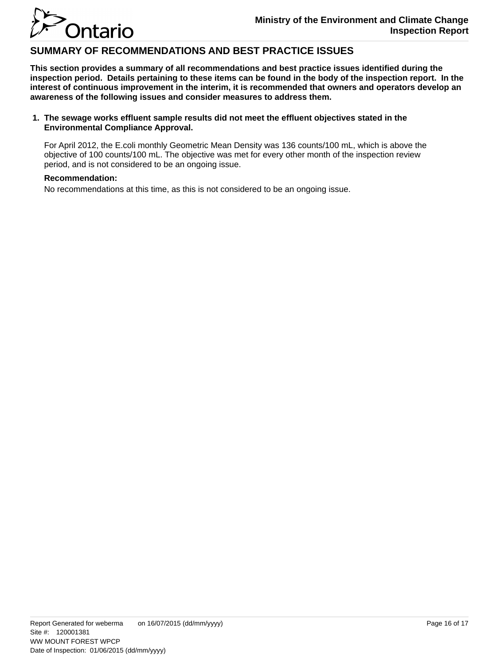

## **SUMMARY OF RECOMMENDATIONS AND BEST PRACTICE ISSUES**

**This section provides a summary of all recommendations and best practice issues identified during the inspection period. Details pertaining to these items can be found in the body of the inspection report. In the interest of continuous improvement in the interim, it is recommended that owners and operators develop an awareness of the following issues and consider measures to address them.**

#### **The sewage works effluent sample results did not meet the effluent objectives stated in the 1. Environmental Compliance Approval.**

For April 2012, the E.coli monthly Geometric Mean Density was 136 counts/100 mL, which is above the objective of 100 counts/100 mL. The objective was met for every other month of the inspection review period, and is not considered to be an ongoing issue.

#### **Recommendation:**

No recommendations at this time, as this is not considered to be an ongoing issue.